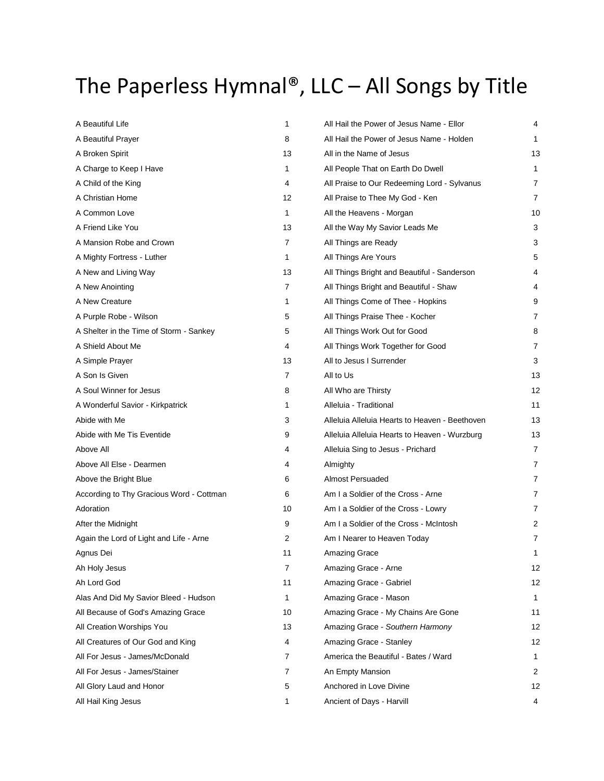## The Paperless Hymnal®, LLC – All Songs by Title

| A Beautiful Life                         | 1              | All Hail the Power of Jesus Name - Ellor       | 4              |
|------------------------------------------|----------------|------------------------------------------------|----------------|
| A Beautiful Prayer                       | 8              | All Hail the Power of Jesus Name - Holden      | 1.             |
| A Broken Spirit                          | 13             | All in the Name of Jesus                       | 13             |
| A Charge to Keep I Have                  | 1              | All People That on Earth Do Dwell              | 1              |
| A Child of the King                      | 4              | All Praise to Our Redeeming Lord - Sylvanus    | 7              |
| A Christian Home                         | 12             | All Praise to Thee My God - Ken                | 7              |
| A Common Love                            | 1              | All the Heavens - Morgan                       | 10             |
| A Friend Like You                        | 13             | All the Way My Savior Leads Me                 | 3              |
| A Mansion Robe and Crown                 | $\overline{7}$ | All Things are Ready                           | 3              |
| A Mighty Fortress - Luther               | 1              | All Things Are Yours                           | 5              |
| A New and Living Way                     | 13             | All Things Bright and Beautiful - Sanderson    | 4              |
| A New Anointing                          | 7              | All Things Bright and Beautiful - Shaw         | 4              |
| A New Creature                           | 1              | All Things Come of Thee - Hopkins              | 9              |
| A Purple Robe - Wilson                   | 5              | All Things Praise Thee - Kocher                | 7              |
| A Shelter in the Time of Storm - Sankey  | 5              | All Things Work Out for Good                   | 8              |
| A Shield About Me                        | 4              | All Things Work Together for Good              | 7              |
| A Simple Prayer                          | 13             | All to Jesus I Surrender                       | 3              |
| A Son Is Given                           | 7              | All to Us                                      | 13             |
| A Soul Winner for Jesus                  | 8              | All Who are Thirsty                            | 12             |
| A Wonderful Savior - Kirkpatrick         | 1              | Alleluia - Traditional                         | 11             |
| Abide with Me                            | 3              | Alleluia Alleluia Hearts to Heaven - Beethoven | 13             |
| Abide with Me Tis Eventide               | 9              | Alleluia Alleluia Hearts to Heaven - Wurzburg  | 13             |
| Above All                                | 4              | Alleluia Sing to Jesus - Prichard              | $\overline{7}$ |
| Above All Else - Dearmen                 | 4              | Almighty                                       | $\overline{7}$ |
| Above the Bright Blue                    | 6              | Almost Persuaded                               | $\overline{7}$ |
| According to Thy Gracious Word - Cottman | 6              | Am I a Soldier of the Cross - Arne             | 7              |
| Adoration                                | 10             | Am I a Soldier of the Cross - Lowry            | 7              |
| After the Midnight                       | 9              | Am I a Soldier of the Cross - McIntosh         | 2              |
| Again the Lord of Light and Life - Arne  | 2              | Am I Nearer to Heaven Today                    | $\overline{7}$ |
| Agnus Dei                                | 11             | <b>Amazing Grace</b>                           | 1              |
| Ah Holy Jesus                            | 7              | Amazing Grace - Arne                           | 12             |
| Ah Lord God                              | 11             | Amazing Grace - Gabriel                        | 12             |
| Alas And Did My Savior Bleed - Hudson    | 1              | Amazing Grace - Mason                          | 1              |
| All Because of God's Amazing Grace       | 10             | Amazing Grace - My Chains Are Gone             | 11             |
| All Creation Worships You                | 13             | Amazing Grace - Southern Harmony               | 12             |
| All Creatures of Our God and King        | 4              | Amazing Grace - Stanley                        | 12             |
| All For Jesus - James/McDonald           | 7              | America the Beautiful - Bates / Ward           | 1              |
| All For Jesus - James/Stainer            | 7              | An Empty Mansion                               | 2              |
| All Glory Laud and Honor                 | 5              | Anchored in Love Divine                        | 12             |
| All Hail King Jesus                      | 1              | Ancient of Days - Harvill                      | 4              |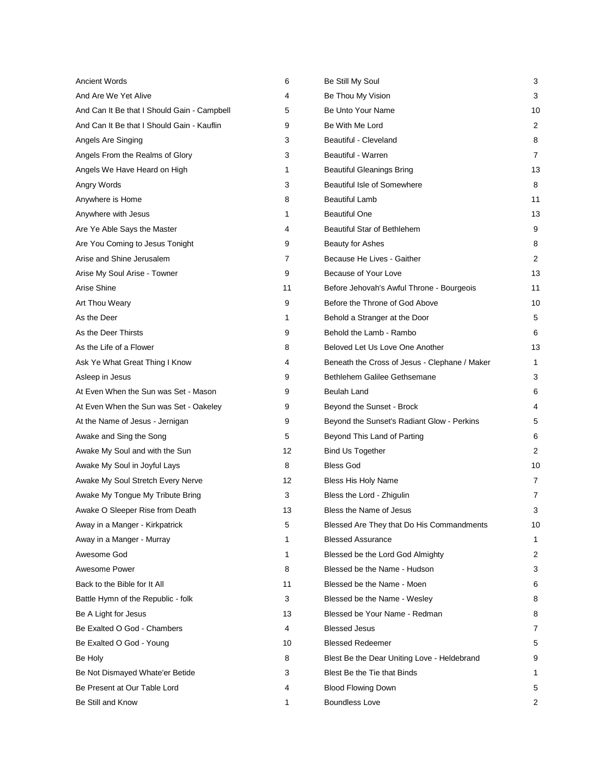| <b>Ancient Words</b>                        | 6  | Be Still My Soul                              | 3              |
|---------------------------------------------|----|-----------------------------------------------|----------------|
| And Are We Yet Alive                        | 4  | Be Thou My Vision                             | 3              |
| And Can It Be that I Should Gain - Campbell | 5  | Be Unto Your Name                             | 10             |
| And Can It Be that I Should Gain - Kauflin  | 9  | Be With Me Lord                               | 2              |
| Angels Are Singing                          | 3  | Beautiful - Cleveland                         | 8              |
| Angels From the Realms of Glory             | 3  | Beautiful - Warren                            | $\overline{7}$ |
| Angels We Have Heard on High                | 1  | <b>Beautiful Gleanings Bring</b>              | 13             |
| Angry Words                                 | 3  | Beautiful Isle of Somewhere                   | 8              |
| Anywhere is Home                            | 8  | <b>Beautiful Lamb</b>                         | 11             |
| Anywhere with Jesus                         | 1  | <b>Beautiful One</b>                          | 13             |
| Are Ye Able Says the Master                 | 4  | Beautiful Star of Bethlehem                   | 9              |
| Are You Coming to Jesus Tonight             | 9  | Beauty for Ashes                              | 8              |
| Arise and Shine Jerusalem                   | 7  | Because He Lives - Gaither                    | 2              |
| Arise My Soul Arise - Towner                | 9  | Because of Your Love                          | 13             |
| Arise Shine                                 | 11 | Before Jehovah's Awful Throne - Bourgeois     | 11             |
| Art Thou Weary                              | 9  | Before the Throne of God Above                | 10             |
| As the Deer                                 | 1  | Behold a Stranger at the Door                 | 5              |
| As the Deer Thirsts                         | 9  | Behold the Lamb - Rambo                       | 6              |
| As the Life of a Flower                     | 8  | Beloved Let Us Love One Another               | 13             |
| Ask Ye What Great Thing I Know              | 4  | Beneath the Cross of Jesus - Clephane / Maker | 1              |
| Asleep in Jesus                             | 9  | Bethlehem Galilee Gethsemane                  | 3              |
| At Even When the Sun was Set - Mason        | 9  | Beulah Land                                   | 6              |
| At Even When the Sun was Set - Oakeley      | 9  | Beyond the Sunset - Brock                     | 4              |
| At the Name of Jesus - Jernigan             | 9  | Beyond the Sunset's Radiant Glow - Perkins    | 5              |
| Awake and Sing the Song                     | 5  | Beyond This Land of Parting                   | 6              |
| Awake My Soul and with the Sun              | 12 | <b>Bind Us Together</b>                       | 2              |
| Awake My Soul in Joyful Lays                | 8  | <b>Bless God</b>                              | 10             |
| Awake My Soul Stretch Every Nerve           | 12 | Bless His Holy Name                           | 7              |
| Awake My Tongue My Tribute Bring            | 3  | Bless the Lord - Zhigulin                     | 7              |
| Awake O Sleeper Rise from Death             | 13 | Bless the Name of Jesus                       | 3              |
| Away in a Manger - Kirkpatrick              | 5  | Blessed Are They that Do His Commandments     | 10             |
| Away in a Manger - Murray                   | 1  | <b>Blessed Assurance</b>                      | 1              |
| Awesome God                                 | 1  | Blessed be the Lord God Almighty              | 2              |
| Awesome Power                               | 8  | Blessed be the Name - Hudson                  | 3              |
| Back to the Bible for It All                | 11 | Blessed be the Name - Moen                    | 6              |
| Battle Hymn of the Republic - folk          | 3  | Blessed be the Name - Wesley                  | 8              |
| Be A Light for Jesus                        | 13 | Blessed be Your Name - Redman                 | 8              |
| Be Exalted O God - Chambers                 | 4  | <b>Blessed Jesus</b>                          | 7              |
| Be Exalted O God - Young                    | 10 | <b>Blessed Redeemer</b>                       | 5              |
| Be Holy                                     | 8  | Blest Be the Dear Uniting Love - Heldebrand   | 9              |
| Be Not Dismayed Whate'er Betide             | 3  | Blest Be the Tie that Binds                   | 1              |
| Be Present at Our Table Lord                | 4  | <b>Blood Flowing Down</b>                     | 5              |
| Be Still and Know                           | 1  | <b>Boundless Love</b>                         | 2              |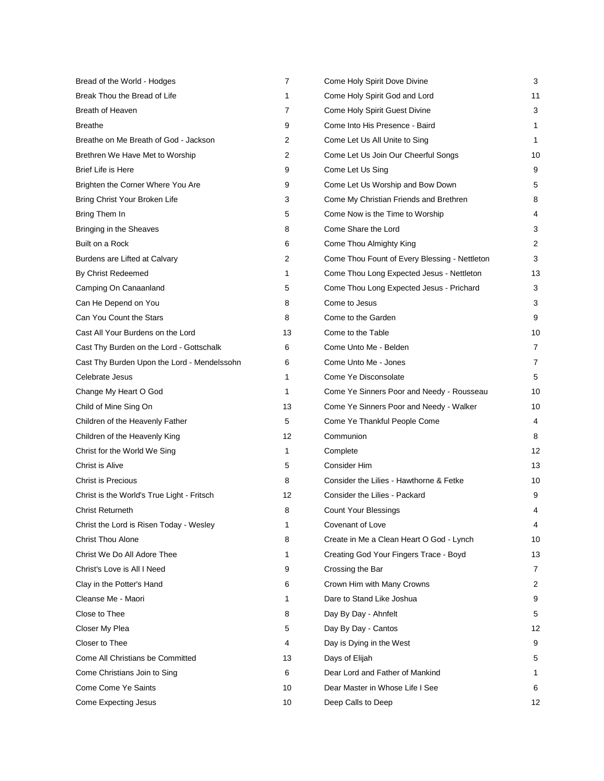| Bread of the World - Hodges                 | $\overline{7}$ | Come Holy Spirit Dove Divine                  | 3              |
|---------------------------------------------|----------------|-----------------------------------------------|----------------|
| Break Thou the Bread of Life                | 1              | Come Holy Spirit God and Lord                 | 11             |
| Breath of Heaven                            | 7              | Come Holy Spirit Guest Divine                 | 3              |
| <b>Breathe</b>                              | 9              | Come Into His Presence - Baird                | 1              |
| Breathe on Me Breath of God - Jackson       | 2              | Come Let Us All Unite to Sing                 | 1              |
| Brethren We Have Met to Worship             | 2              | Come Let Us Join Our Cheerful Songs           | 10             |
| <b>Brief Life is Here</b>                   | 9              | Come Let Us Sing                              | 9              |
| Brighten the Corner Where You Are           | 9              | Come Let Us Worship and Bow Down              | 5              |
| Bring Christ Your Broken Life               | 3              | Come My Christian Friends and Brethren        | 8              |
| Bring Them In                               | 5              | Come Now is the Time to Worship               | 4              |
| Bringing in the Sheaves                     | 8              | Come Share the Lord                           | 3              |
| Built on a Rock                             | 6              | Come Thou Almighty King                       | 2              |
| Burdens are Lifted at Calvary               | 2              | Come Thou Fount of Every Blessing - Nettleton | 3              |
| By Christ Redeemed                          | 1              | Come Thou Long Expected Jesus - Nettleton     | 13             |
| Camping On Canaanland                       | 5              | Come Thou Long Expected Jesus - Prichard      | 3              |
| Can He Depend on You                        | 8              | Come to Jesus                                 | 3              |
| Can You Count the Stars                     | 8              | Come to the Garden                            | 9              |
| Cast All Your Burdens on the Lord           | 13             | Come to the Table                             | 10             |
| Cast Thy Burden on the Lord - Gottschalk    | 6              | Come Unto Me - Belden                         | 7              |
| Cast Thy Burden Upon the Lord - Mendelssohn | 6              | Come Unto Me - Jones                          | $\overline{7}$ |
| Celebrate Jesus                             | 1              | Come Ye Disconsolate                          | 5              |
| Change My Heart O God                       | 1              | Come Ye Sinners Poor and Needy - Rousseau     | 10             |
| Child of Mine Sing On                       | 13             | Come Ye Sinners Poor and Needy - Walker       | 10             |
| Children of the Heavenly Father             | 5              | Come Ye Thankful People Come                  | 4              |
| Children of the Heavenly King               | 12             | Communion                                     | 8              |
| Christ for the World We Sing                | 1              | Complete                                      | 12             |
| Christ is Alive                             | 5              | Consider Him                                  | 13             |
| <b>Christ is Precious</b>                   | 8              | Consider the Lilies - Hawthorne & Fetke       | 10             |
| Christ is the World's True Light - Fritsch  | 12             | Consider the Lilies - Packard                 | 9              |
| <b>Christ Returneth</b>                     | 8              | <b>Count Your Blessings</b>                   | 4              |
| Christ the Lord is Risen Today - Wesley     | 1              | Covenant of Love                              | 4              |
| <b>Christ Thou Alone</b>                    | 8              | Create in Me a Clean Heart O God - Lynch      | 10             |
| Christ We Do All Adore Thee                 | 1              | Creating God Your Fingers Trace - Boyd        | 13             |
| Christ's Love is All I Need                 | 9              | Crossing the Bar                              | 7              |
| Clay in the Potter's Hand                   | 6              | Crown Him with Many Crowns                    | 2              |
| Cleanse Me - Maori                          | 1              | Dare to Stand Like Joshua                     | 9              |
| Close to Thee                               | 8              | Day By Day - Ahnfelt                          | 5              |
| Closer My Plea                              | 5              | Day By Day - Cantos                           | 12             |
| Closer to Thee                              | 4              | Day is Dying in the West                      | 9              |
| Come All Christians be Committed            | 13             | Days of Elijah                                | 5              |
| Come Christians Join to Sing                | 6              | Dear Lord and Father of Mankind               | 1              |
| Come Come Ye Saints                         | 10             | Dear Master in Whose Life I See               | 6              |
| Come Expecting Jesus                        | 10             | Deep Calls to Deep                            | 12             |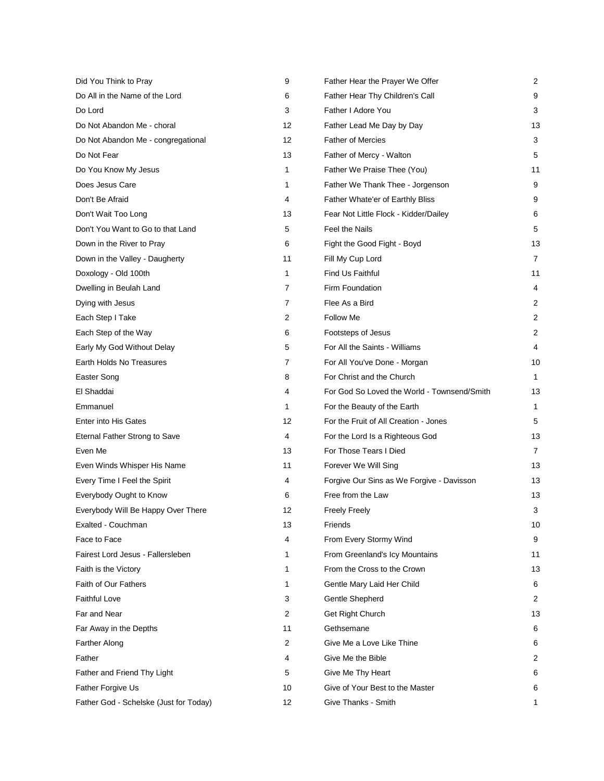| Did You Think to Pray                  | 9              | Father Hear the Prayer We Offer             | 2  |
|----------------------------------------|----------------|---------------------------------------------|----|
| Do All in the Name of the Lord         | 6              | Father Hear Thy Children's Call             | 9  |
| Do Lord                                | 3              | Father I Adore You                          | 3  |
| Do Not Abandon Me - choral             | 12             | Father Lead Me Day by Day                   | 13 |
| Do Not Abandon Me - congregational     | 12             | <b>Father of Mercies</b>                    | 3  |
| Do Not Fear                            | 13             | Father of Mercy - Walton                    | 5  |
| Do You Know My Jesus                   | 1              | Father We Praise Thee (You)                 | 11 |
| Does Jesus Care                        | $\mathbf{1}$   | Father We Thank Thee - Jorgenson            | 9  |
| Don't Be Afraid                        | 4              | Father Whate'er of Earthly Bliss            | 9  |
| Don't Wait Too Long                    | 13             | Fear Not Little Flock - Kidder/Dailey       | 6  |
| Don't You Want to Go to that Land      | 5              | Feel the Nails                              | 5  |
| Down in the River to Pray              | 6              | Fight the Good Fight - Boyd                 | 13 |
| Down in the Valley - Daugherty         | 11             | Fill My Cup Lord                            | 7  |
| Doxology - Old 100th                   | $\mathbf{1}$   | Find Us Faithful                            | 11 |
| Dwelling in Beulah Land                | 7              | Firm Foundation                             | 4  |
| Dying with Jesus                       | $\overline{7}$ | Flee As a Bird                              | 2  |
| Each Step I Take                       | 2              | Follow Me                                   | 2  |
| Each Step of the Way                   | 6              | Footsteps of Jesus                          | 2  |
| Early My God Without Delay             | 5              | For All the Saints - Williams               | 4  |
| Earth Holds No Treasures               | 7              | For All You've Done - Morgan                | 10 |
| Easter Song                            | 8              | For Christ and the Church                   | 1  |
| El Shaddai                             | 4              | For God So Loved the World - Townsend/Smith | 13 |
| Emmanuel                               | 1              | For the Beauty of the Earth                 | 1  |
| Enter into His Gates                   | 12             | For the Fruit of All Creation - Jones       | 5  |
| Eternal Father Strong to Save          | 4              | For the Lord Is a Righteous God             | 13 |
| Even Me                                | 13             | For Those Tears I Died                      | 7  |
| Even Winds Whisper His Name            | 11             | Forever We Will Sing                        | 13 |
| Every Time I Feel the Spirit           | 4              | Forgive Our Sins as We Forgive - Davisson   | 13 |
| Everybody Ought to Know                | 6              | Free from the Law                           | 13 |
| Everybody Will Be Happy Over There     | 12             | <b>Freely Freely</b>                        | 3  |
| Exalted - Couchman                     | 13             | Friends                                     | 10 |
| Face to Face                           | 4              | From Every Stormy Wind                      | 9  |
| Fairest Lord Jesus - Fallersleben      | 1              | From Greenland's Icy Mountains              | 11 |
| Faith is the Victory                   | 1              | From the Cross to the Crown                 | 13 |
| <b>Faith of Our Fathers</b>            | 1              | Gentle Mary Laid Her Child                  | 6  |
| <b>Faithful Love</b>                   | 3              | Gentle Shepherd                             | 2  |
| Far and Near                           | 2              | Get Right Church                            | 13 |
| Far Away in the Depths                 | 11             | Gethsemane                                  | 6  |
| Farther Along                          | 2              | Give Me a Love Like Thine                   | 6  |
| Father                                 | 4              | Give Me the Bible                           | 2  |
| Father and Friend Thy Light            | 5              | Give Me Thy Heart                           | 6  |
| Father Forgive Us                      | 10             | Give of Your Best to the Master             | 6  |
| Father God - Schelske (Just for Today) | 12             | Give Thanks - Smith                         | 1  |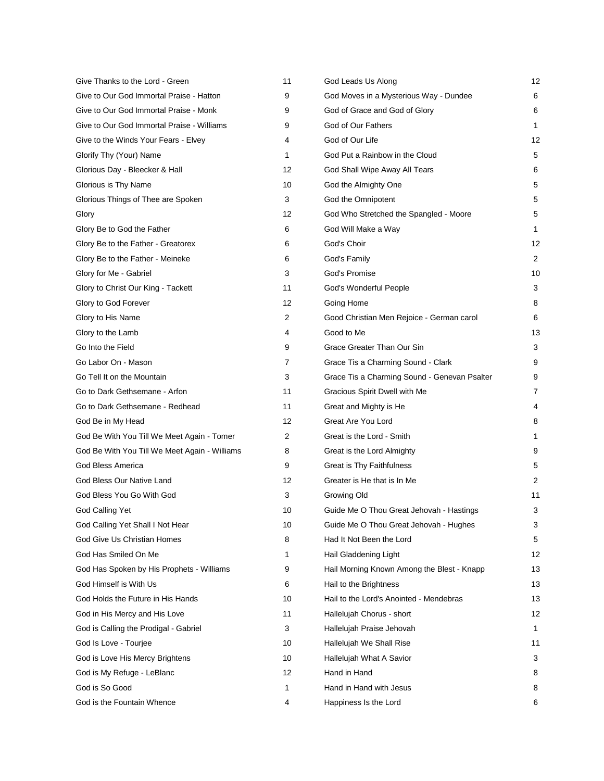| Give Thanks to the Lord - Green               | 11 | God Leads Us Along                           | 12             |
|-----------------------------------------------|----|----------------------------------------------|----------------|
| Give to Our God Immortal Praise - Hatton      | 9  | God Moves in a Mysterious Way - Dundee       | 6              |
| Give to Our God Immortal Praise - Monk        | 9  | God of Grace and God of Glory                | 6              |
| Give to Our God Immortal Praise - Williams    | 9  | God of Our Fathers                           | 1              |
| Give to the Winds Your Fears - Elvey          | 4  | God of Our Life                              | 12             |
| Glorify Thy (Your) Name                       | 1  | God Put a Rainbow in the Cloud               | 5              |
| Glorious Day - Bleecker & Hall                | 12 | God Shall Wipe Away All Tears                | 6              |
| Glorious is Thy Name                          | 10 | God the Almighty One                         | 5              |
| Glorious Things of Thee are Spoken            | 3  | God the Omnipotent                           | 5              |
| Glory                                         | 12 | God Who Stretched the Spangled - Moore       | 5              |
| Glory Be to God the Father                    | 6  | God Will Make a Way                          | 1              |
| Glory Be to the Father - Greatorex            | 6  | God's Choir                                  | 12             |
| Glory Be to the Father - Meineke              | 6  | God's Family                                 | 2              |
| Glory for Me - Gabriel                        | 3  | God's Promise                                | 10             |
| Glory to Christ Our King - Tackett            | 11 | God's Wonderful People                       | 3              |
| Glory to God Forever                          | 12 | Going Home                                   | 8              |
| Glory to His Name                             | 2  | Good Christian Men Rejoice - German carol    | 6              |
| Glory to the Lamb                             | 4  | Good to Me                                   | 13             |
| Go Into the Field                             | 9  | Grace Greater Than Our Sin                   | 3              |
| Go Labor On - Mason                           | 7  | Grace Tis a Charming Sound - Clark           | 9              |
| Go Tell It on the Mountain                    | 3  | Grace Tis a Charming Sound - Genevan Psalter | 9              |
| Go to Dark Gethsemane - Arfon                 | 11 | Gracious Spirit Dwell with Me                | $\overline{7}$ |
| Go to Dark Gethsemane - Redhead               | 11 | Great and Mighty is He                       | 4              |
| God Be in My Head                             | 12 | Great Are You Lord                           | 8              |
| God Be With You Till We Meet Again - Tomer    | 2  | Great is the Lord - Smith                    | 1              |
| God Be With You Till We Meet Again - Williams | 8  | Great is the Lord Almighty                   | 9              |
| God Bless America                             | 9  | Great is Thy Faithfulness                    | 5              |
| God Bless Our Native Land                     | 12 | Greater is He that is In Me                  | 2              |
| God Bless You Go With God                     | 3  | Growing Old                                  | 11             |
| God Calling Yet                               | 10 | Guide Me O Thou Great Jehovah - Hastings     | 3              |
| God Calling Yet Shall I Not Hear              | 10 | Guide Me O Thou Great Jehovah - Hughes       | 3              |
| God Give Us Christian Homes                   | 8  | Had It Not Been the Lord                     | 5              |
| God Has Smiled On Me                          | 1  | Hail Gladdening Light                        | 12             |
| God Has Spoken by His Prophets - Williams     | 9  | Hail Morning Known Among the Blest - Knapp   | 13             |
| God Himself is With Us                        | 6  | Hail to the Brightness                       | 13             |
| God Holds the Future in His Hands             | 10 | Hail to the Lord's Anointed - Mendebras      | 13             |
| God in His Mercy and His Love                 | 11 | Hallelujah Chorus - short                    | 12             |
| God is Calling the Prodigal - Gabriel         | 3  | Hallelujah Praise Jehovah                    | 1              |
| God Is Love - Tourjee                         | 10 | Hallelujah We Shall Rise                     | 11             |
| God is Love His Mercy Brightens               | 10 | Hallelujah What A Savior                     | 3              |
| God is My Refuge - LeBlanc                    | 12 | Hand in Hand                                 | 8              |
| God is So Good                                | 1  | Hand in Hand with Jesus                      | 8              |
| God is the Fountain Whence                    | 4  | Happiness Is the Lord                        | 6              |
|                                               |    |                                              |                |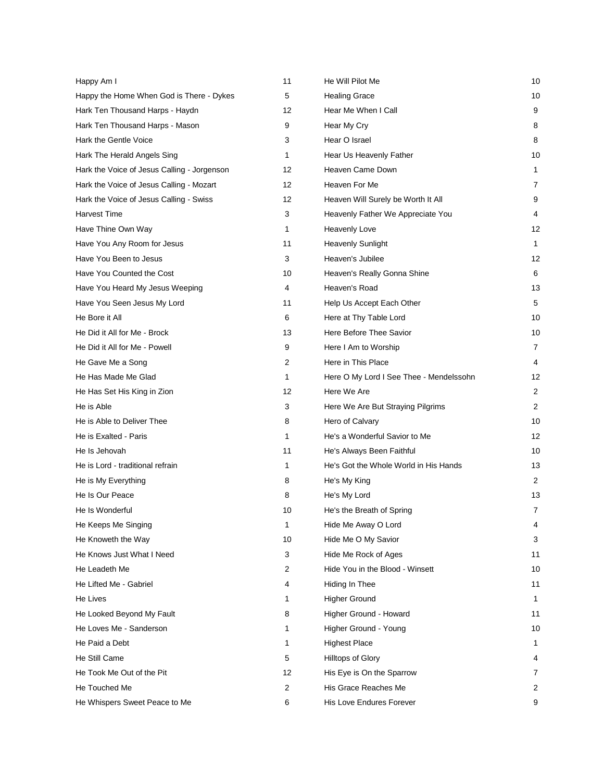| Happy Am I                                  | 11 | He Will Pilot Me                        | 10 |
|---------------------------------------------|----|-----------------------------------------|----|
| Happy the Home When God is There - Dykes    | 5  | <b>Healing Grace</b>                    | 10 |
| Hark Ten Thousand Harps - Haydn             | 12 | Hear Me When I Call                     | 9  |
| Hark Ten Thousand Harps - Mason             | 9  | Hear My Cry                             | 8  |
| Hark the Gentle Voice                       | 3  | Hear O Israel                           | 8  |
| Hark The Herald Angels Sing                 | 1  | Hear Us Heavenly Father                 | 10 |
| Hark the Voice of Jesus Calling - Jorgenson | 12 | Heaven Came Down                        | 1  |
| Hark the Voice of Jesus Calling - Mozart    | 12 | Heaven For Me                           | 7  |
| Hark the Voice of Jesus Calling - Swiss     | 12 | Heaven Will Surely be Worth It All      | 9  |
| <b>Harvest Time</b>                         | 3  | Heavenly Father We Appreciate You       | 4  |
| Have Thine Own Way                          | 1  | <b>Heavenly Love</b>                    | 12 |
| Have You Any Room for Jesus                 | 11 | <b>Heavenly Sunlight</b>                | 1  |
| Have You Been to Jesus                      | 3  | Heaven's Jubilee                        | 12 |
| Have You Counted the Cost                   | 10 | Heaven's Really Gonna Shine             | 6  |
| Have You Heard My Jesus Weeping             | 4  | Heaven's Road                           | 13 |
| Have You Seen Jesus My Lord                 | 11 | Help Us Accept Each Other               | 5  |
| He Bore it All                              | 6  | Here at Thy Table Lord                  | 10 |
| He Did it All for Me - Brock                | 13 | Here Before Thee Savior                 | 10 |
| He Did it All for Me - Powell               | 9  | Here I Am to Worship                    | 7  |
| He Gave Me a Song                           | 2  | Here in This Place                      | 4  |
| He Has Made Me Glad                         | 1  | Here O My Lord I See Thee - Mendelssohn | 12 |
| He Has Set His King in Zion                 | 12 | Here We Are                             | 2  |
| He is Able                                  | 3  | Here We Are But Straying Pilgrims       | 2  |
| He is Able to Deliver Thee                  | 8  | Hero of Calvary                         | 10 |
| He is Exalted - Paris                       | 1  | He's a Wonderful Savior to Me           | 12 |
| He Is Jehovah                               | 11 | He's Always Been Faithful               | 10 |
| He is Lord - traditional refrain            | 1  | He's Got the Whole World in His Hands   | 13 |
| He is My Everything                         | 8  | He's My King                            | 2  |
| He Is Our Peace                             | 8  | He's My Lord                            | 13 |
| He Is Wonderful                             | 10 | He's the Breath of Spring               | 7  |
| He Keeps Me Singing                         | 1  | Hide Me Away O Lord                     | 4  |
| He Knoweth the Way                          | 10 | Hide Me O My Savior                     | 3  |
| He Knows Just What I Need                   | 3  | Hide Me Rock of Ages                    | 11 |
| He Leadeth Me                               | 2  | Hide You in the Blood - Winsett         | 10 |
| He Lifted Me - Gabriel                      | 4  | Hiding In Thee                          | 11 |
| He Lives                                    | 1  | <b>Higher Ground</b>                    | 1  |
| He Looked Beyond My Fault                   | 8  | Higher Ground - Howard                  | 11 |
| He Loves Me - Sanderson                     | 1  | Higher Ground - Young                   | 10 |
| He Paid a Debt                              | 1  | <b>Highest Place</b>                    | 1  |
| He Still Came                               | 5  | Hilltops of Glory                       | 4  |
| He Took Me Out of the Pit                   | 12 | His Eye is On the Sparrow               | 7  |
| He Touched Me                               | 2  | His Grace Reaches Me                    | 2  |
| He Whispers Sweet Peace to Me               | 6  | His Love Endures Forever                | 9  |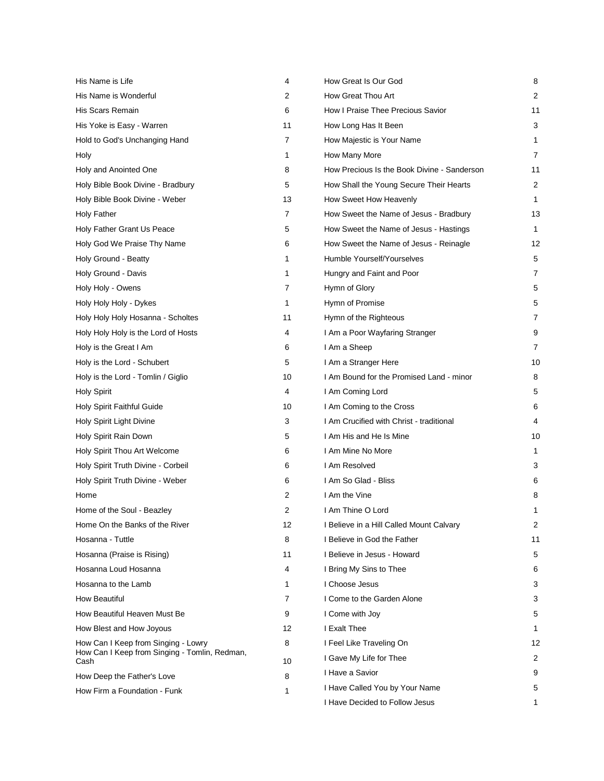| His Name is Life                                                                     | 4              | How Great Is Our God                        | 8              |
|--------------------------------------------------------------------------------------|----------------|---------------------------------------------|----------------|
| His Name is Wonderful                                                                | 2              | How Great Thou Art                          | 2              |
| His Scars Remain                                                                     | 6              | How I Praise Thee Precious Savior           | 11             |
| His Yoke is Easy - Warren                                                            | 11             | How Long Has It Been                        | 3              |
| Hold to God's Unchanging Hand                                                        | 7              | How Majestic is Your Name                   | 1              |
| Holy                                                                                 | 1              | How Many More                               | $\overline{7}$ |
| Holy and Anointed One                                                                | 8              | How Precious Is the Book Divine - Sanderson | 11             |
| Holy Bible Book Divine - Bradbury                                                    | 5              | How Shall the Young Secure Their Hearts     | 2              |
| Holy Bible Book Divine - Weber                                                       | 13             | How Sweet How Heavenly                      | 1              |
| Holy Father                                                                          | $\overline{7}$ | How Sweet the Name of Jesus - Bradbury      | 13             |
| Holy Father Grant Us Peace                                                           | 5              | How Sweet the Name of Jesus - Hastings      | 1              |
| Holy God We Praise Thy Name                                                          | 6              | How Sweet the Name of Jesus - Reinagle      | 12             |
| Holy Ground - Beatty                                                                 | 1              | Humble Yourself/Yourselves                  | 5              |
| Holy Ground - Davis                                                                  | 1              | Hungry and Faint and Poor                   | $\overline{7}$ |
| Holy Holy - Owens                                                                    | $\overline{7}$ | Hymn of Glory                               | 5              |
| Holy Holy Holy - Dykes                                                               | $\mathbf{1}$   | Hymn of Promise                             | 5              |
| Holy Holy Holy Hosanna - Scholtes                                                    | 11             | Hymn of the Righteous                       | $\overline{7}$ |
| Holy Holy Holy is the Lord of Hosts                                                  | 4              | I Am a Poor Wayfaring Stranger              | 9              |
| Holy is the Great I Am                                                               | 6              | I Am a Sheep                                | $\overline{7}$ |
| Holy is the Lord - Schubert                                                          | 5              | I Am a Stranger Here                        | 10             |
| Holy is the Lord - Tomlin / Giglio                                                   | 10             | I Am Bound for the Promised Land - minor    | 8              |
| <b>Holy Spirit</b>                                                                   | 4              | I Am Coming Lord                            | 5              |
| Holy Spirit Faithful Guide                                                           | 10             | I Am Coming to the Cross                    | 6              |
| Holy Spirit Light Divine                                                             | 3              | I Am Crucified with Christ - traditional    | 4              |
| Holy Spirit Rain Down                                                                | 5              | I Am His and He Is Mine                     | 10             |
| Holy Spirit Thou Art Welcome                                                         | 6              | I Am Mine No More                           | 1              |
| Holy Spirit Truth Divine - Corbeil                                                   | 6              | I Am Resolved                               | 3              |
| Holy Spirit Truth Divine - Weber                                                     | 6              | I Am So Glad - Bliss                        | 6              |
| Home                                                                                 | 2              | I Am the Vine                               | 8              |
| Home of the Soul - Beazley                                                           | 2              | I Am Thine O Lord                           | 1              |
| Home On the Banks of the River                                                       | 12             | I Believe in a Hill Called Mount Calvary    | 2              |
| Hosanna - Tuttle                                                                     | 8              | I Believe in God the Father                 | 11             |
| Hosanna (Praise is Rising)                                                           | 11             | I Believe in Jesus - Howard                 | 5              |
| Hosanna Loud Hosanna                                                                 | 4              | I Bring My Sins to Thee                     | 6              |
| Hosanna to the Lamb                                                                  | 1              | I Choose Jesus                              | 3              |
| How Beautiful                                                                        | $\overline{7}$ | I Come to the Garden Alone                  | 3              |
| How Beautiful Heaven Must Be                                                         | 9              | I Come with Joy                             | 5              |
| How Blest and How Joyous                                                             | 12             | I Exalt Thee                                | 1              |
| How Can I Keep from Singing - Lowry<br>How Can I Keep from Singing - Tomlin, Redman, | 8              | I Feel Like Traveling On                    | 12             |
| Cash                                                                                 | 10             | I Gave My Life for Thee                     | 2              |
| How Deep the Father's Love                                                           | 8              | I Have a Savior                             | 9              |
| How Firm a Foundation - Funk                                                         | 1              | I Have Called You by Your Name              | 5              |
|                                                                                      |                | I Have Decided to Follow Jesus              | 1              |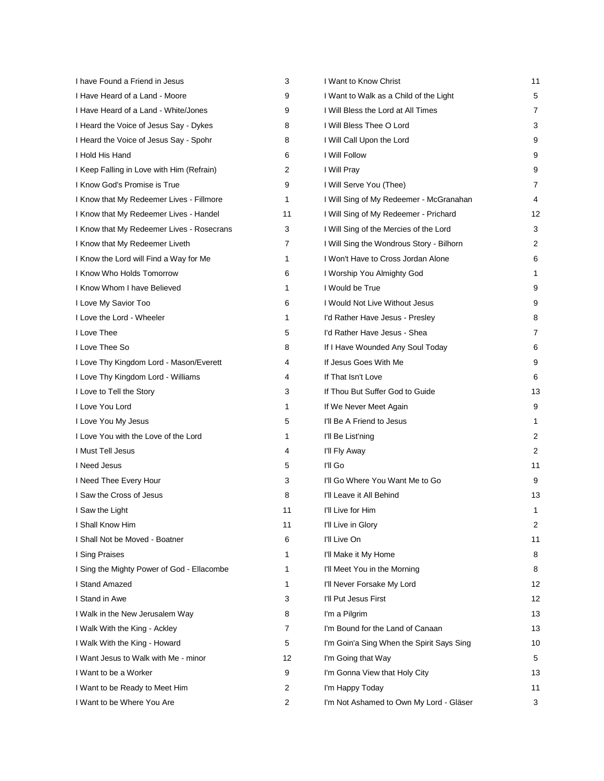| I have Found a Friend in Jesus             | 3  | I Want to Know Christ                     | 11 |
|--------------------------------------------|----|-------------------------------------------|----|
| I Have Heard of a Land - Moore             | 9  | I Want to Walk as a Child of the Light    | 5  |
| I Have Heard of a Land - White/Jones       | 9  | I Will Bless the Lord at All Times        | 7  |
| I Heard the Voice of Jesus Say - Dykes     | 8  | I Will Bless Thee O Lord                  | 3  |
| I Heard the Voice of Jesus Say - Spohr     | 8  | I Will Call Upon the Lord                 | 9  |
| I Hold His Hand                            | 6  | I Will Follow                             | 9  |
| I Keep Falling in Love with Him (Refrain)  | 2  | I Will Pray                               | 9  |
| I Know God's Promise is True               | 9  | I Will Serve You (Thee)                   | 7  |
| I Know that My Redeemer Lives - Fillmore   | 1  | I Will Sing of My Redeemer - McGranahan   | 4  |
| I Know that My Redeemer Lives - Handel     | 11 | I Will Sing of My Redeemer - Prichard     | 12 |
| I Know that My Redeemer Lives - Rosecrans  | 3  | I Will Sing of the Mercies of the Lord    | 3  |
| I Know that My Redeemer Liveth             | 7  | I Will Sing the Wondrous Story - Bilhorn  | 2  |
| I Know the Lord will Find a Way for Me     | 1  | I Won't Have to Cross Jordan Alone        | 6  |
| I Know Who Holds Tomorrow                  | 6  | I Worship You Almighty God                | 1  |
| I Know Whom I have Believed                | 1  | I Would be True                           | 9  |
| I Love My Savior Too                       | 6  | I Would Not Live Without Jesus            | 9  |
| I Love the Lord - Wheeler                  | 1  | I'd Rather Have Jesus - Presley           | 8  |
| I Love Thee                                | 5  | I'd Rather Have Jesus - Shea              | 7  |
| I Love Thee So                             | 8  | If I Have Wounded Any Soul Today          | 6  |
| I Love Thy Kingdom Lord - Mason/Everett    | 4  | If Jesus Goes With Me                     | 9  |
| I Love Thy Kingdom Lord - Williams         | 4  | If That Isn't Love                        | 6  |
| I Love to Tell the Story                   | 3  | If Thou But Suffer God to Guide           | 13 |
| I Love You Lord                            | 1  | If We Never Meet Again                    | 9  |
| I Love You My Jesus                        | 5  | I'll Be A Friend to Jesus                 | 1  |
| I Love You with the Love of the Lord       | 1  | I'll Be List'ning                         | 2  |
| I Must Tell Jesus                          | 4  | I'll Fly Away                             | 2  |
| I Need Jesus                               | 5  | I'll Go                                   | 11 |
| I Need Thee Every Hour                     | 3  | I'll Go Where You Want Me to Go           | 9  |
| I Saw the Cross of Jesus                   | 8  | I'll Leave it All Behind                  | 13 |
| I Saw the Light                            | 11 | I'll Live for Him                         | 1  |
| I Shall Know Him                           | 11 | I'll Live in Glory                        | 2  |
| I Shall Not be Moved - Boatner             | 6  | I'll Live On                              | 11 |
| I Sing Praises                             | 1  | I'll Make it My Home                      | 8  |
| I Sing the Mighty Power of God - Ellacombe | 1  | I'll Meet You in the Morning              | 8  |
| I Stand Amazed                             | 1  | I'll Never Forsake My Lord                | 12 |
| I Stand in Awe                             | 3  | I'll Put Jesus First                      | 12 |
| I Walk in the New Jerusalem Way            | 8  | I'm a Pilgrim                             | 13 |
| I Walk With the King - Ackley              | 7  | I'm Bound for the Land of Canaan          | 13 |
| I Walk With the King - Howard              | 5  | I'm Goin'a Sing When the Spirit Says Sing | 10 |
| I Want Jesus to Walk with Me - minor       | 12 | I'm Going that Way                        | 5  |
| I Want to be a Worker                      | 9  | I'm Gonna View that Holy City             | 13 |
| I Want to be Ready to Meet Him             | 2  | I'm Happy Today                           | 11 |
| I Want to be Where You Are                 | 2  | I'm Not Ashamed to Own My Lord - Gläser   | 3  |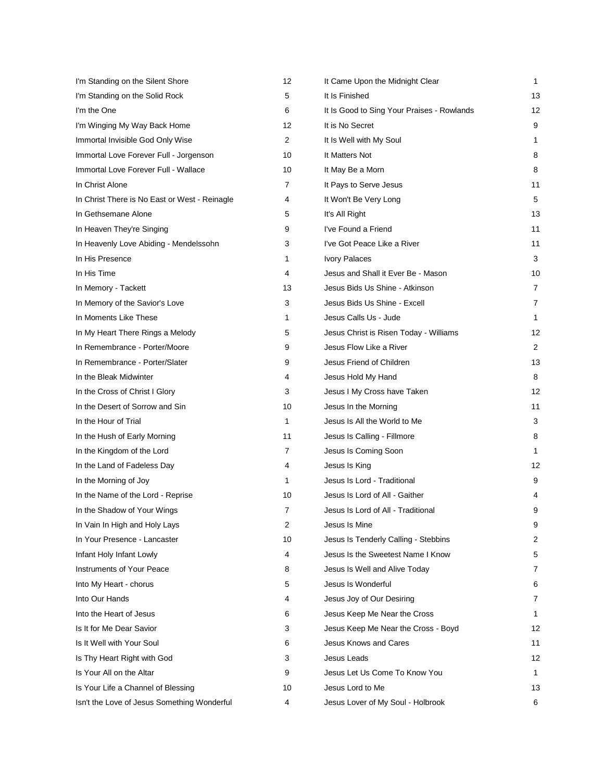| I'm Standing on the Silent Shore              | 12 | It Came Upon the Midnight Clear            | $\mathbf{1}$ |
|-----------------------------------------------|----|--------------------------------------------|--------------|
| I'm Standing on the Solid Rock                | 5  | It Is Finished                             | 13           |
| I'm the One                                   | 6  | It Is Good to Sing Your Praises - Rowlands | 12           |
| I'm Winging My Way Back Home                  | 12 | It is No Secret                            | 9            |
| Immortal Invisible God Only Wise              | 2  | It Is Well with My Soul                    | 1            |
| Immortal Love Forever Full - Jorgenson        | 10 | It Matters Not                             | 8            |
| Immortal Love Forever Full - Wallace          | 10 | It May Be a Morn                           | 8            |
| In Christ Alone                               | 7  | It Pays to Serve Jesus                     | 11           |
| In Christ There is No East or West - Reinagle | 4  | It Won't Be Very Long                      | 5            |
| In Gethsemane Alone                           | 5  | It's All Right                             | 13           |
| In Heaven They're Singing                     | 9  | I've Found a Friend                        | 11           |
| In Heavenly Love Abiding - Mendelssohn        | 3  | I've Got Peace Like a River                | 11           |
| In His Presence                               | 1  | <b>Ivory Palaces</b>                       | 3            |
| In His Time                                   | 4  | Jesus and Shall it Ever Be - Mason         | 10           |
| In Memory - Tackett                           | 13 | Jesus Bids Us Shine - Atkinson             | 7            |
| In Memory of the Savior's Love                | 3  | Jesus Bids Us Shine - Excell               | 7            |
| In Moments Like These                         | 1  | Jesus Calls Us - Jude                      | 1            |
| In My Heart There Rings a Melody              | 5  | Jesus Christ is Risen Today - Williams     | 12           |
| In Remembrance - Porter/Moore                 | 9  | Jesus Flow Like a River                    | 2            |
| In Remembrance - Porter/Slater                | 9  | Jesus Friend of Children                   | 13           |
| In the Bleak Midwinter                        | 4  | Jesus Hold My Hand                         | 8            |
| In the Cross of Christ I Glory                | 3  | Jesus I My Cross have Taken                | 12           |
| In the Desert of Sorrow and Sin               | 10 | Jesus In the Morning                       | 11           |
| In the Hour of Trial                          | 1  | Jesus Is All the World to Me               | 3            |
| In the Hush of Early Morning                  | 11 | Jesus Is Calling - Fillmore                | 8            |
| In the Kingdom of the Lord                    | 7  | Jesus Is Coming Soon                       | 1            |
| In the Land of Fadeless Day                   | 4  | Jesus Is King                              | 12           |
| In the Morning of Joy                         | 1  | Jesus Is Lord - Traditional                | 9            |
| In the Name of the Lord - Reprise             | 10 | Jesus Is Lord of All - Gaither             | 4            |
| In the Shadow of Your Wings                   | 7  | Jesus Is Lord of All - Traditional         | 9            |
| In Vain In High and Holy Lays                 | 2  | Jesus Is Mine                              | 9            |
| In Your Presence - Lancaster                  | 10 | Jesus Is Tenderly Calling - Stebbins       | 2            |
| Infant Holy Infant Lowly                      | 4  | Jesus Is the Sweetest Name I Know          | 5            |
| <b>Instruments of Your Peace</b>              | 8  | Jesus Is Well and Alive Today              | 7            |
| Into My Heart - chorus                        | 5  | Jesus Is Wonderful                         | 6            |
| Into Our Hands                                | 4  | Jesus Joy of Our Desiring                  | 7            |
| Into the Heart of Jesus                       | 6  | Jesus Keep Me Near the Cross               | 1            |
| Is It for Me Dear Savior                      | 3  | Jesus Keep Me Near the Cross - Boyd        | 12           |
| Is It Well with Your Soul                     | 6  | <b>Jesus Knows and Cares</b>               | 11           |
| Is Thy Heart Right with God                   | 3  | Jesus Leads                                | 12           |
| Is Your All on the Altar                      | 9  | Jesus Let Us Come To Know You              | 1            |
| Is Your Life a Channel of Blessing            | 10 | Jesus Lord to Me                           | 13           |
| Isn't the Love of Jesus Something Wonderful   | 4  | Jesus Lover of My Soul - Holbrook          | 6            |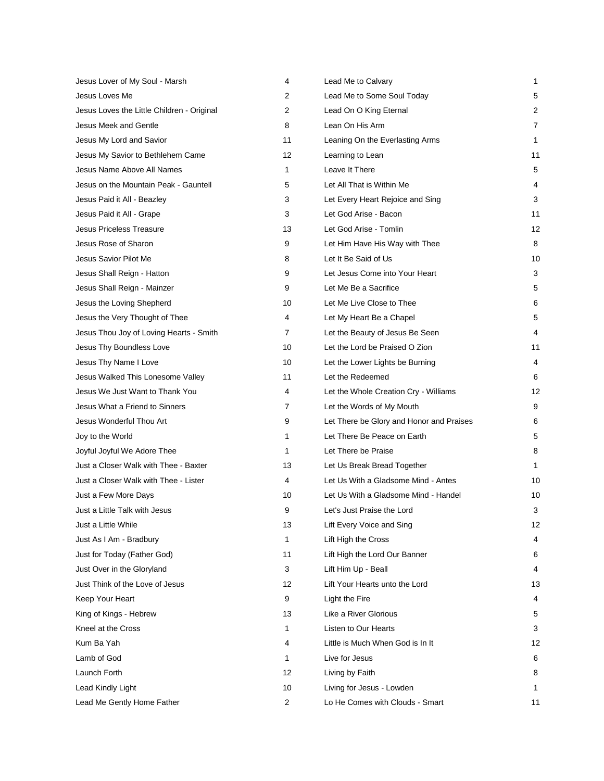| Jesus Lover of My Soul - Marsh             | 4  | Lead Me to Calvary                       | 1  |
|--------------------------------------------|----|------------------------------------------|----|
| Jesus Loves Me                             | 2  | Lead Me to Some Soul Today               | 5  |
| Jesus Loves the Little Children - Original | 2  | Lead On O King Eternal                   | 2  |
| <b>Jesus Meek and Gentle</b>               | 8  | Lean On His Arm                          | 7  |
| Jesus My Lord and Savior                   | 11 | Leaning On the Everlasting Arms          | 1  |
| Jesus My Savior to Bethlehem Came          | 12 | Learning to Lean                         | 11 |
| Jesus Name Above All Names                 | 1  | Leave It There                           | 5  |
| Jesus on the Mountain Peak - Gauntell      | 5  | Let All That is Within Me                | 4  |
| Jesus Paid it All - Beazley                | 3  | Let Every Heart Rejoice and Sing         | 3  |
| Jesus Paid it All - Grape                  | 3  | Let God Arise - Bacon                    | 11 |
| Jesus Priceless Treasure                   | 13 | Let God Arise - Tomlin                   | 12 |
| Jesus Rose of Sharon                       | 9  | Let Him Have His Way with Thee           | 8  |
| Jesus Savior Pilot Me                      | 8  | Let It Be Said of Us                     | 10 |
| Jesus Shall Reign - Hatton                 | 9  | Let Jesus Come into Your Heart           | 3  |
| Jesus Shall Reign - Mainzer                | 9  | Let Me Be a Sacrifice                    | 5  |
| Jesus the Loving Shepherd                  | 10 | Let Me Live Close to Thee                | 6  |
| Jesus the Very Thought of Thee             | 4  | Let My Heart Be a Chapel                 | 5  |
| Jesus Thou Joy of Loving Hearts - Smith    | 7  | Let the Beauty of Jesus Be Seen          | 4  |
| Jesus Thy Boundless Love                   | 10 | Let the Lord be Praised O Zion           | 11 |
| Jesus Thy Name I Love                      | 10 | Let the Lower Lights be Burning          | 4  |
| Jesus Walked This Lonesome Valley          | 11 | Let the Redeemed                         | 6  |
| Jesus We Just Want to Thank You            | 4  | Let the Whole Creation Cry - Williams    | 12 |
| Jesus What a Friend to Sinners             | 7  | Let the Words of My Mouth                | 9  |
| Jesus Wonderful Thou Art                   | 9  | Let There be Glory and Honor and Praises | 6  |
| Joy to the World                           | 1  | Let There Be Peace on Earth              | 5  |
| Joyful Joyful We Adore Thee                | 1  | Let There be Praise                      | 8  |
| Just a Closer Walk with Thee - Baxter      | 13 | Let Us Break Bread Together              | 1  |
| Just a Closer Walk with Thee - Lister      | 4  | Let Us With a Gladsome Mind - Antes      | 10 |
| Just a Few More Days                       | 10 | Let Us With a Gladsome Mind - Handel     | 10 |
| Just a Little Talk with Jesus              | 9  | Let's Just Praise the Lord               | 3  |
| Just a Little While                        | 13 | Lift Every Voice and Sing                | 12 |
| Just As I Am - Bradbury                    | 1  | Lift High the Cross                      | 4  |
| Just for Today (Father God)                | 11 | Lift High the Lord Our Banner            | 6  |
| Just Over in the Gloryland                 | 3  | Lift Him Up - Beall                      | 4  |
| Just Think of the Love of Jesus            | 12 | Lift Your Hearts unto the Lord           | 13 |
| Keep Your Heart                            | 9  | Light the Fire                           | 4  |
| King of Kings - Hebrew                     | 13 | Like a River Glorious                    | 5  |
| Kneel at the Cross                         | 1  | <b>Listen to Our Hearts</b>              | 3  |
| Kum Ba Yah                                 | 4  | Little is Much When God is In It         | 12 |
| Lamb of God                                | 1  | Live for Jesus                           | 6  |
| Launch Forth                               | 12 | Living by Faith                          | 8  |
| Lead Kindly Light                          | 10 | Living for Jesus - Lowden                | 1  |
| Lead Me Gently Home Father                 | 2  | Lo He Comes with Clouds - Smart          | 11 |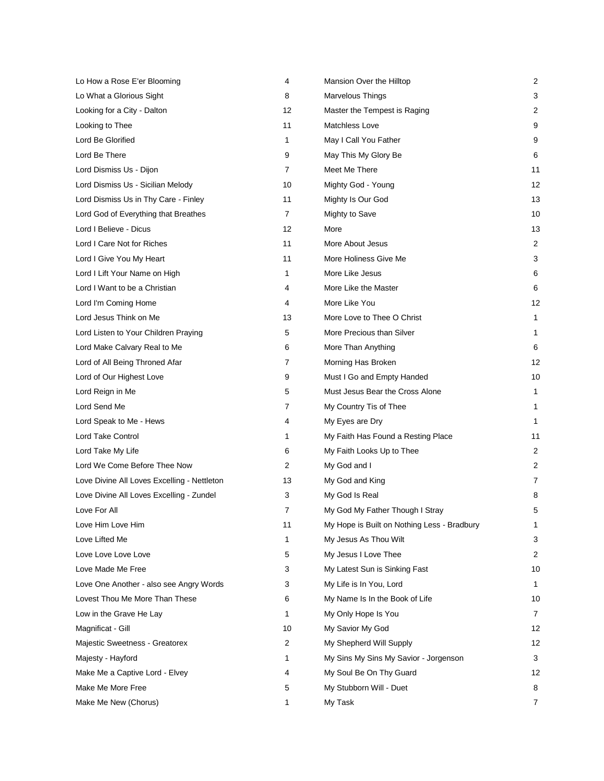| Lo How a Rose E'er Blooming                 | 4              | Mansion Over the Hilltop                    | 2  |
|---------------------------------------------|----------------|---------------------------------------------|----|
| Lo What a Glorious Sight                    | 8              | <b>Marvelous Things</b>                     | 3  |
| Looking for a City - Dalton                 | 12             | Master the Tempest is Raging                | 2  |
| Looking to Thee                             | 11             | Matchless Love                              | 9  |
| Lord Be Glorified                           | 1              | May I Call You Father                       | 9  |
| Lord Be There                               | 9              | May This My Glory Be                        | 6  |
| Lord Dismiss Us - Dijon                     | $\overline{7}$ | Meet Me There                               | 11 |
| Lord Dismiss Us - Sicilian Melody           | 10             | Mighty God - Young                          | 12 |
| Lord Dismiss Us in Thy Care - Finley        | 11             | Mighty Is Our God                           | 13 |
| Lord God of Everything that Breathes        | 7              | Mighty to Save                              | 10 |
| Lord I Believe - Dicus                      | 12             | More                                        | 13 |
| Lord I Care Not for Riches                  | 11             | More About Jesus                            | 2  |
| Lord I Give You My Heart                    | 11             | More Holiness Give Me                       | 3  |
| Lord I Lift Your Name on High               | 1              | More Like Jesus                             | 6  |
| Lord I Want to be a Christian               | 4              | More Like the Master                        | 6  |
| Lord I'm Coming Home                        | 4              | More Like You                               | 12 |
| Lord Jesus Think on Me                      | 13             | More Love to Thee O Christ                  | 1  |
| Lord Listen to Your Children Praying        | 5              | More Precious than Silver                   | 1  |
| Lord Make Calvary Real to Me                | 6              | More Than Anything                          | 6  |
| Lord of All Being Throned Afar              | 7              | Morning Has Broken                          | 12 |
| Lord of Our Highest Love                    | 9              | Must I Go and Empty Handed                  | 10 |
| Lord Reign in Me                            | 5              | Must Jesus Bear the Cross Alone             | 1  |
| Lord Send Me                                | 7              | My Country Tis of Thee                      | 1  |
| Lord Speak to Me - Hews                     | 4              | My Eyes are Dry                             | 1  |
| Lord Take Control                           | 1              | My Faith Has Found a Resting Place          | 11 |
| Lord Take My Life                           | 6              | My Faith Looks Up to Thee                   | 2  |
| Lord We Come Before Thee Now                | 2              | My God and I                                | 2  |
| Love Divine All Loves Excelling - Nettleton | 13             | My God and King                             | 7  |
| Love Divine All Loves Excelling - Zundel    | 3              | My God Is Real                              | 8  |
| Love For All                                | 7              | My God My Father Though I Stray             | 5  |
| Love Him Love Him                           | 11             | My Hope is Built on Nothing Less - Bradbury | 1  |
| Love Lifted Me                              | 1              | My Jesus As Thou Wilt                       | 3  |
| Love Love Love Love                         | 5              | My Jesus I Love Thee                        | 2  |
| Love Made Me Free                           | 3              | My Latest Sun is Sinking Fast               | 10 |
| Love One Another - also see Angry Words     | 3              | My Life is In You, Lord                     | 1  |
| Lovest Thou Me More Than These              | 6              | My Name Is In the Book of Life              | 10 |
| Low in the Grave He Lay                     | 1              | My Only Hope Is You                         | 7  |
| Magnificat - Gill                           | 10             | My Savior My God                            | 12 |
| Majestic Sweetness - Greatorex              | 2              | My Shepherd Will Supply                     | 12 |
| Majesty - Hayford                           | 1              | My Sins My Sins My Savior - Jorgenson       | 3  |
| Make Me a Captive Lord - Elvey              | 4              | My Soul Be On Thy Guard                     | 12 |
| Make Me More Free                           | 5              | My Stubborn Will - Duet                     | 8  |
| Make Me New (Chorus)                        | 1              | My Task                                     | 7  |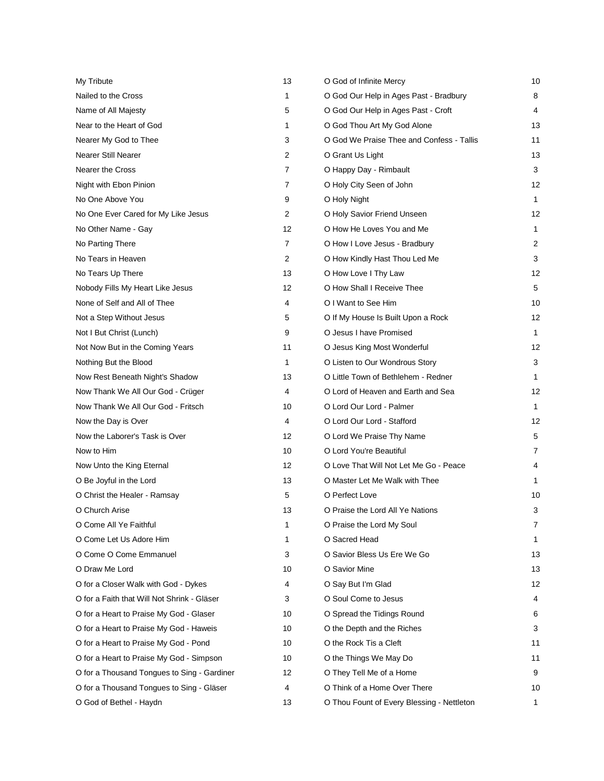| My Tribute                                  | 13             | O God of Infinite Mercy                    | 10 |
|---------------------------------------------|----------------|--------------------------------------------|----|
| Nailed to the Cross                         | 1              | O God Our Help in Ages Past - Bradbury     | 8  |
| Name of All Majesty                         | 5              | O God Our Help in Ages Past - Croft        | 4  |
| Near to the Heart of God                    | 1              | O God Thou Art My God Alone                | 13 |
| Nearer My God to Thee                       | 3              | O God We Praise Thee and Confess - Tallis  | 11 |
| <b>Nearer Still Nearer</b>                  | 2              | O Grant Us Light                           | 13 |
| <b>Nearer the Cross</b>                     | $\overline{7}$ | O Happy Day - Rimbault                     | 3  |
| Night with Ebon Pinion                      | $\overline{7}$ | O Holy City Seen of John                   | 12 |
| No One Above You                            | 9              | O Holy Night                               | 1  |
| No One Ever Cared for My Like Jesus         | 2              | O Holy Savior Friend Unseen                | 12 |
| No Other Name - Gay                         | 12             | O How He Loves You and Me                  | 1  |
| No Parting There                            | $\overline{7}$ | O How I Love Jesus - Bradbury              | 2  |
| No Tears in Heaven                          | 2              | O How Kindly Hast Thou Led Me              | 3  |
| No Tears Up There                           | 13             | O How Love I Thy Law                       | 12 |
| Nobody Fills My Heart Like Jesus            | 12             | O How Shall I Receive Thee                 | 5  |
| None of Self and All of Thee                | 4              | O I Want to See Him                        | 10 |
| Not a Step Without Jesus                    | 5              | O If My House Is Built Upon a Rock         | 12 |
| Not I But Christ (Lunch)                    | 9              | O Jesus I have Promised                    | 1  |
| Not Now But in the Coming Years             | 11             | O Jesus King Most Wonderful                | 12 |
| Nothing But the Blood                       | 1              | O Listen to Our Wondrous Story             | 3  |
| Now Rest Beneath Night's Shadow             | 13             | O Little Town of Bethlehem - Redner        | 1  |
| Now Thank We All Our God - Crüger           | 4              | O Lord of Heaven and Earth and Sea         | 12 |
| Now Thank We All Our God - Fritsch          | 10             | O Lord Our Lord - Palmer                   | 1  |
| Now the Day is Over                         | 4              | O Lord Our Lord - Stafford                 | 12 |
| Now the Laborer's Task is Over              | 12             | O Lord We Praise Thy Name                  | 5  |
| Now to Him                                  | 10             | O Lord You're Beautiful                    | 7  |
| Now Unto the King Eternal                   | 12             | O Love That Will Not Let Me Go - Peace     | 4  |
| O Be Joyful in the Lord                     | 13             | O Master Let Me Walk with Thee             | 1  |
| O Christ the Healer - Ramsay                | 5              | O Perfect Love                             | 10 |
| O Church Arise                              | 13             | O Praise the Lord All Ye Nations           | 3  |
| O Come All Ye Faithful                      | 1              | O Praise the Lord My Soul                  | 7  |
| O Come Let Us Adore Him                     | 1              | O Sacred Head                              | 1  |
| O Come O Come Emmanuel                      | 3              | O Savior Bless Us Ere We Go                | 13 |
| O Draw Me Lord                              | 10             | O Savior Mine                              | 13 |
| O for a Closer Walk with God - Dykes        | 4              | O Say But I'm Glad                         | 12 |
| O for a Faith that Will Not Shrink - Gläser | 3              | O Soul Come to Jesus                       | 4  |
| O for a Heart to Praise My God - Glaser     | 10             | O Spread the Tidings Round                 | 6  |
| O for a Heart to Praise My God - Haweis     | 10             | O the Depth and the Riches                 | 3  |
| O for a Heart to Praise My God - Pond       | 10             | O the Rock Tis a Cleft                     | 11 |
| O for a Heart to Praise My God - Simpson    | 10             | O the Things We May Do                     | 11 |
| O for a Thousand Tongues to Sing - Gardiner | 12             | O They Tell Me of a Home                   | 9  |
| O for a Thousand Tongues to Sing - Gläser   | 4              | O Think of a Home Over There               | 10 |
| O God of Bethel - Haydn                     | 13             | O Thou Fount of Every Blessing - Nettleton | 1  |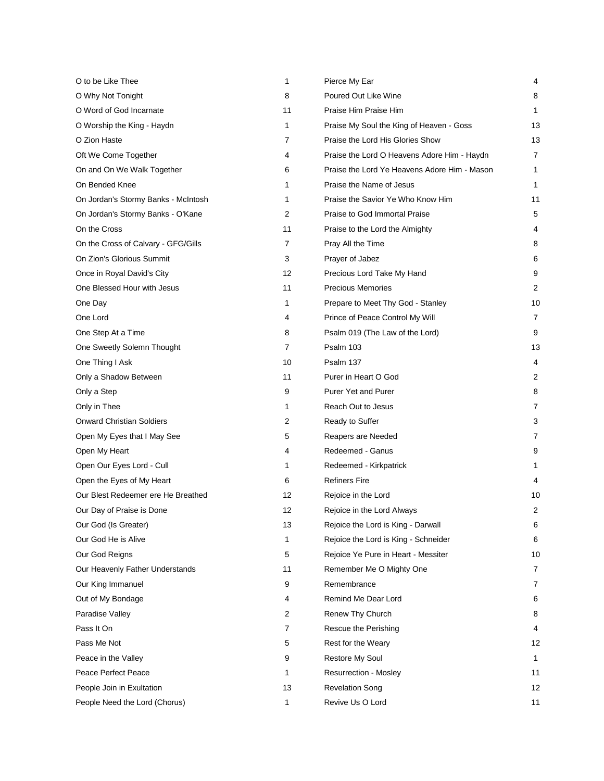| O to be Like Thee                   | 1  | Pierce My Ear                                | 4            |
|-------------------------------------|----|----------------------------------------------|--------------|
| O Why Not Tonight                   | 8  | Poured Out Like Wine                         | 8            |
| O Word of God Incarnate             | 11 | Praise Him Praise Him                        | 1            |
| O Worship the King - Haydn          | 1  | Praise My Soul the King of Heaven - Goss     | 13           |
| O Zion Haste                        | 7  | Praise the Lord His Glories Show             | 13           |
| Oft We Come Together                | 4  | Praise the Lord O Heavens Adore Him - Haydn  | 7            |
| On and On We Walk Together          | 6  | Praise the Lord Ye Heavens Adore Him - Mason | 1            |
| On Bended Knee                      | 1  | Praise the Name of Jesus                     | 1            |
| On Jordan's Stormy Banks - McIntosh | 1  | Praise the Savior Ye Who Know Him            | 11           |
| On Jordan's Stormy Banks - O'Kane   | 2  | Praise to God Immortal Praise                | 5            |
| On the Cross                        | 11 | Praise to the Lord the Almighty              | 4            |
| On the Cross of Calvary - GFG/Gills | 7  | Pray All the Time                            | 8            |
| On Zion's Glorious Summit           | 3  | Prayer of Jabez                              | 6            |
| Once in Royal David's City          | 12 | Precious Lord Take My Hand                   | 9            |
| One Blessed Hour with Jesus         | 11 | <b>Precious Memories</b>                     | 2            |
| One Day                             | 1  | Prepare to Meet Thy God - Stanley            | 10           |
| One Lord                            | 4  | Prince of Peace Control My Will              | 7            |
| One Step At a Time                  | 8  | Psalm 019 (The Law of the Lord)              | 9            |
| One Sweetly Solemn Thought          | 7  | Psalm 103                                    | 13           |
| One Thing I Ask                     | 10 | Psalm 137                                    | 4            |
| Only a Shadow Between               | 11 | Purer in Heart O God                         | 2            |
| Only a Step                         | 9  | <b>Purer Yet and Purer</b>                   | 8            |
| Only in Thee                        | 1  | Reach Out to Jesus                           | 7            |
| <b>Onward Christian Soldiers</b>    | 2  | Ready to Suffer                              | 3            |
| Open My Eyes that I May See         | 5  | Reapers are Needed                           | 7            |
| Open My Heart                       | 4  | Redeemed - Ganus                             | 9            |
| Open Our Eyes Lord - Cull           | 1  | Redeemed - Kirkpatrick                       | $\mathbf{1}$ |
| Open the Eyes of My Heart           | 6  | <b>Refiners Fire</b>                         | 4            |
| Our Blest Redeemer ere He Breathed  | 12 | Rejoice in the Lord                          | 10           |
| Our Day of Praise is Done           | 12 | Rejoice in the Lord Always                   | 2            |
| Our God (Is Greater)                | 13 | Rejoice the Lord is King - Darwall           | 6            |
| Our God He is Alive                 | 1  | Rejoice the Lord is King - Schneider         | 6            |
| Our God Reigns                      | 5  | Rejoice Ye Pure in Heart - Messiter          | 10           |
| Our Heavenly Father Understands     | 11 | Remember Me O Mighty One                     | 7            |
| Our King Immanuel                   | 9  | Remembrance                                  | 7            |
| Out of My Bondage                   | 4  | Remind Me Dear Lord                          | 6            |
| Paradise Valley                     | 2  | <b>Renew Thy Church</b>                      | 8            |
| Pass It On                          | 7  | Rescue the Perishing                         | 4            |
| Pass Me Not                         | 5  | Rest for the Weary                           | 12           |
| Peace in the Valley                 | 9  | <b>Restore My Soul</b>                       | $\mathbf{1}$ |
| Peace Perfect Peace                 | 1  | <b>Resurrection - Mosley</b>                 | 11           |
| People Join in Exultation           | 13 | <b>Revelation Song</b>                       | 12           |
| People Need the Lord (Chorus)       | 1  | Revive Us O Lord                             | 11           |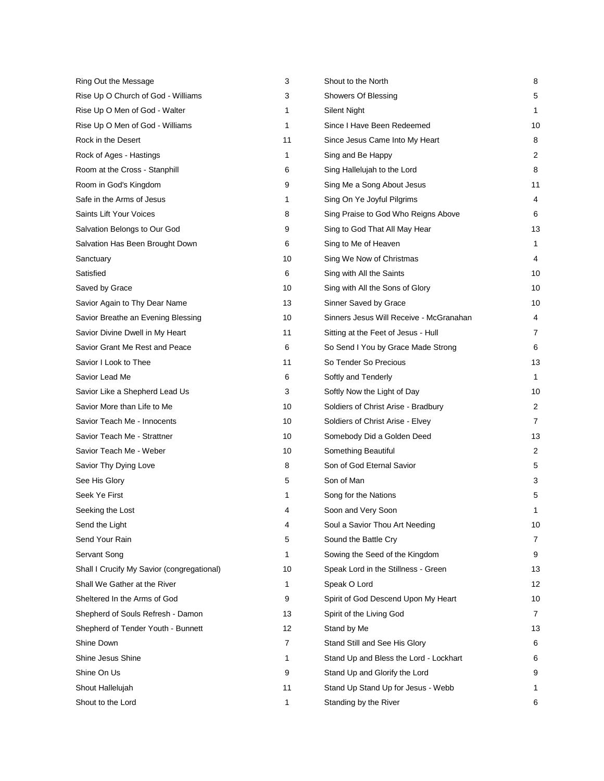| Ring Out the Message                       | 3  | Shout to the North                      | 8              |
|--------------------------------------------|----|-----------------------------------------|----------------|
| Rise Up O Church of God - Williams         | 3  | Showers Of Blessing                     | 5              |
| Rise Up O Men of God - Walter              | 1  | Silent Night                            | 1              |
| Rise Up O Men of God - Williams            | 1  | Since I Have Been Redeemed              | 10             |
| Rock in the Desert                         | 11 | Since Jesus Came Into My Heart          | 8              |
| Rock of Ages - Hastings                    | 1  | Sing and Be Happy                       | 2              |
| Room at the Cross - Stanphill              | 6  | Sing Hallelujah to the Lord             | 8              |
| Room in God's Kingdom                      | 9  | Sing Me a Song About Jesus              | 11             |
| Safe in the Arms of Jesus                  | 1  | Sing On Ye Joyful Pilgrims              | 4              |
| Saints Lift Your Voices                    | 8  | Sing Praise to God Who Reigns Above     | 6              |
| Salvation Belongs to Our God               | 9  | Sing to God That All May Hear           | 13             |
| Salvation Has Been Brought Down            | 6  | Sing to Me of Heaven                    | 1              |
| Sanctuary                                  | 10 | Sing We Now of Christmas                | 4              |
| Satisfied                                  | 6  | Sing with All the Saints                | 10             |
| Saved by Grace                             | 10 | Sing with All the Sons of Glory         | 10             |
| Savior Again to Thy Dear Name              | 13 | Sinner Saved by Grace                   | 10             |
| Savior Breathe an Evening Blessing         | 10 | Sinners Jesus Will Receive - McGranahan | 4              |
| Savior Divine Dwell in My Heart            | 11 | Sitting at the Feet of Jesus - Hull     | 7              |
| Savior Grant Me Rest and Peace             | 6  | So Send I You by Grace Made Strong      | 6              |
| Savior I Look to Thee                      | 11 | So Tender So Precious                   | 13             |
| Savior Lead Me                             | 6  | Softly and Tenderly                     | 1              |
| Savior Like a Shepherd Lead Us             | 3  | Softly Now the Light of Day             | 10             |
| Savior More than Life to Me                | 10 | Soldiers of Christ Arise - Bradbury     | 2              |
| Savior Teach Me - Innocents                | 10 | Soldiers of Christ Arise - Elvey        | $\overline{7}$ |
| Savior Teach Me - Strattner                | 10 | Somebody Did a Golden Deed              | 13             |
| Savior Teach Me - Weber                    | 10 | Something Beautiful                     | $\overline{c}$ |
| Savior Thy Dying Love                      | 8  | Son of God Eternal Savior               | 5              |
| See His Glory                              | 5  | Son of Man                              | 3              |
| Seek Ye First                              | 1  | Song for the Nations                    | 5              |
| Seeking the Lost                           | 4  | Soon and Very Soon                      | 1              |
| Send the Light                             | 4  | Soul a Savior Thou Art Needing          | 10             |
| Send Your Rain                             | 5  | Sound the Battle Cry                    | 7              |
| Servant Song                               | 1  | Sowing the Seed of the Kingdom          | 9              |
| Shall I Crucify My Savior (congregational) | 10 | Speak Lord in the Stillness - Green     | 13             |
| Shall We Gather at the River               | 1  | Speak O Lord                            | 12             |
| Sheltered In the Arms of God               | 9  | Spirit of God Descend Upon My Heart     | 10             |
| Shepherd of Souls Refresh - Damon          | 13 | Spirit of the Living God                | 7              |
| Shepherd of Tender Youth - Bunnett         | 12 | Stand by Me                             | 13             |
| Shine Down                                 | 7  | Stand Still and See His Glory           | 6              |
| Shine Jesus Shine                          | 1  | Stand Up and Bless the Lord - Lockhart  | 6              |
| Shine On Us                                | 9  | Stand Up and Glorify the Lord           | 9              |
| Shout Hallelujah                           | 11 | Stand Up Stand Up for Jesus - Webb      | 1              |
| Shout to the Lord                          | 1  | Standing by the River                   | 6              |
|                                            |    |                                         |                |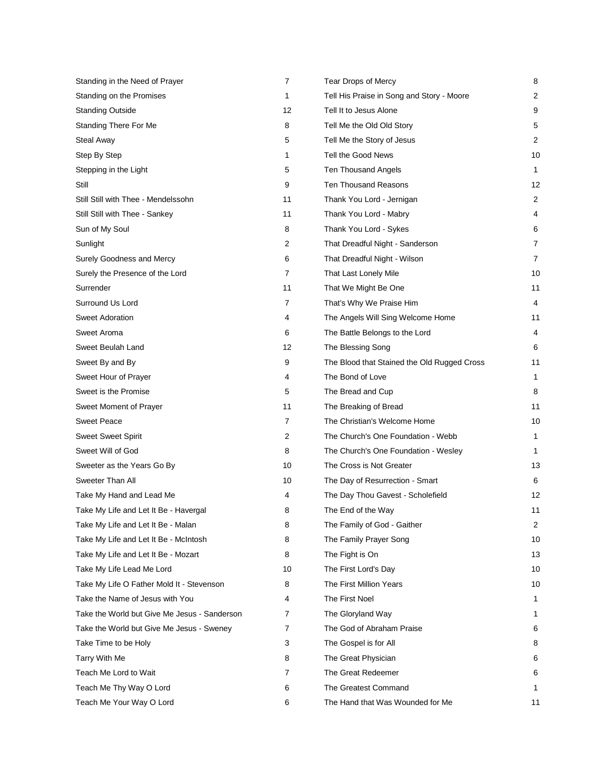| Standing in the Need of Prayer               | $\overline{7}$ | <b>Tear Drops of Mercy</b>                  | 8              |
|----------------------------------------------|----------------|---------------------------------------------|----------------|
| Standing on the Promises                     | $\mathbf{1}$   | Tell His Praise in Song and Story - Moore   | 2              |
| <b>Standing Outside</b>                      | 12             | Tell It to Jesus Alone                      | 9              |
| Standing There For Me                        | 8              | Tell Me the Old Old Story                   | 5              |
| <b>Steal Away</b>                            | 5              | Tell Me the Story of Jesus                  | 2              |
| Step By Step                                 | 1              | Tell the Good News                          | 10             |
| Stepping in the Light                        | 5              | Ten Thousand Angels                         | 1              |
| Still                                        | 9              | <b>Ten Thousand Reasons</b>                 | 12             |
| Still Still with Thee - Mendelssohn          | 11             | Thank You Lord - Jernigan                   | 2              |
| Still Still with Thee - Sankey               | 11             | Thank You Lord - Mabry                      | 4              |
| Sun of My Soul                               | 8              | Thank You Lord - Sykes                      | 6              |
| Sunlight                                     | 2              | That Dreadful Night - Sanderson             | $\overline{7}$ |
| Surely Goodness and Mercy                    | 6              | That Dreadful Night - Wilson                | $\overline{7}$ |
| Surely the Presence of the Lord              | $\overline{7}$ | That Last Lonely Mile                       | 10             |
| Surrender                                    | 11             | That We Might Be One                        | 11             |
| Surround Us Lord                             | $\overline{7}$ | That's Why We Praise Him                    | 4              |
| <b>Sweet Adoration</b>                       | 4              | The Angels Will Sing Welcome Home           | 11             |
| Sweet Aroma                                  | 6              | The Battle Belongs to the Lord              | 4              |
| Sweet Beulah Land                            | 12             | The Blessing Song                           | 6              |
| Sweet By and By                              | 9              | The Blood that Stained the Old Rugged Cross | 11             |
| Sweet Hour of Prayer                         | 4              | The Bond of Love                            | 1              |
| Sweet is the Promise                         | 5              | The Bread and Cup                           | 8              |
| Sweet Moment of Prayer                       | 11             | The Breaking of Bread                       | 11             |
| <b>Sweet Peace</b>                           | $\overline{7}$ | The Christian's Welcome Home                | 10             |
| <b>Sweet Sweet Spirit</b>                    | 2              | The Church's One Foundation - Webb          | 1              |
| Sweet Will of God                            | 8              | The Church's One Foundation - Wesley        | 1              |
| Sweeter as the Years Go By                   | 10             | The Cross is Not Greater                    | 13             |
| Sweeter Than All                             | 10             | The Day of Resurrection - Smart             | 6              |
| Take My Hand and Lead Me                     | 4              | The Day Thou Gavest - Scholefield           | 12             |
| Take My Life and Let It Be - Havergal        | 8              | The End of the Way                          | 11             |
| Take My Life and Let It Be - Malan           | 8              | The Family of God - Gaither                 | 2              |
| Take My Life and Let It Be - McIntosh        | 8              | The Family Prayer Song                      | 10             |
| Take My Life and Let It Be - Mozart          | 8              | The Fight is On                             | 13             |
| Take My Life Lead Me Lord                    | 10             | The First Lord's Day                        | 10             |
| Take My Life O Father Mold It - Stevenson    | 8              | The First Million Years                     | 10             |
| Take the Name of Jesus with You              | 4              | The First Noel                              | 1              |
| Take the World but Give Me Jesus - Sanderson | 7              | The Gloryland Way                           | 1              |
| Take the World but Give Me Jesus - Sweney    | $\overline{7}$ | The God of Abraham Praise                   | 6              |
| Take Time to be Holy                         | 3              | The Gospel is for All                       | 8              |
| Tarry With Me                                | 8              | The Great Physician                         | 6              |
| Teach Me Lord to Wait                        | $\overline{7}$ | The Great Redeemer                          | 6              |
| Teach Me Thy Way O Lord                      | 6              | The Greatest Command                        | 1              |
| Teach Me Your Way O Lord                     | 6              | The Hand that Was Wounded for Me            | 11             |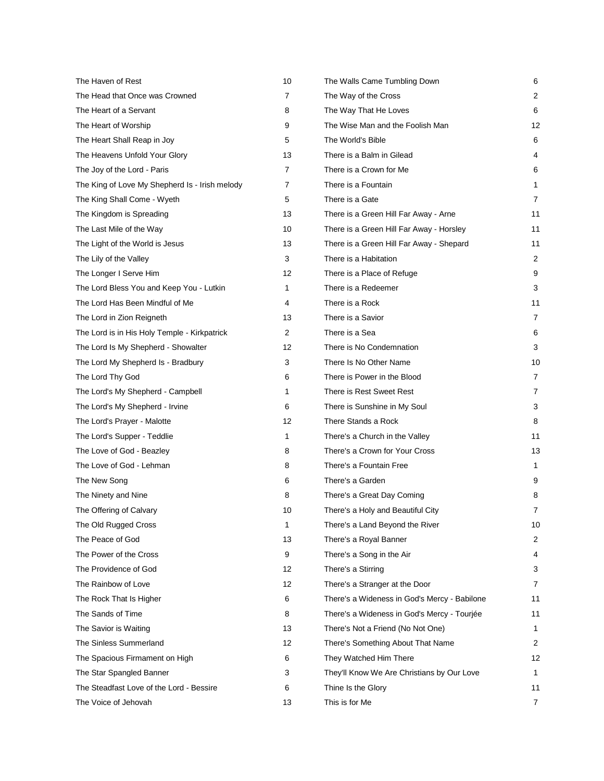| The Haven of Rest                              | 10             | The Walls Came Tumbling Down                 | 6              |
|------------------------------------------------|----------------|----------------------------------------------|----------------|
| The Head that Once was Crowned                 | 7              | The Way of the Cross                         | 2              |
| The Heart of a Servant                         | 8              | The Way That He Loves                        | 6              |
| The Heart of Worship                           | 9              | The Wise Man and the Foolish Man             | 12             |
| The Heart Shall Reap in Joy                    | 5              | The World's Bible                            | 6              |
| The Heavens Unfold Your Glory                  | 13             | There is a Balm in Gilead                    | 4              |
| The Joy of the Lord - Paris                    | 7              | There is a Crown for Me                      | 6              |
| The King of Love My Shepherd Is - Irish melody | $\overline{7}$ | There is a Fountain                          | $\mathbf{1}$   |
| The King Shall Come - Wyeth                    | 5              | There is a Gate                              | 7              |
| The Kingdom is Spreading                       | 13             | There is a Green Hill Far Away - Arne        | 11             |
| The Last Mile of the Way                       | 10             | There is a Green Hill Far Away - Horsley     | 11             |
| The Light of the World is Jesus                | 13             | There is a Green Hill Far Away - Shepard     | 11             |
| The Lily of the Valley                         | 3              | There is a Habitation                        | 2              |
| The Longer I Serve Him                         | 12             | There is a Place of Refuge                   | 9              |
| The Lord Bless You and Keep You - Lutkin       | 1              | There is a Redeemer                          | 3              |
| The Lord Has Been Mindful of Me                | 4              | There is a Rock                              | 11             |
| The Lord in Zion Reigneth                      | 13             | There is a Savior                            | 7              |
| The Lord is in His Holy Temple - Kirkpatrick   | $\overline{c}$ | There is a Sea                               | 6              |
| The Lord Is My Shepherd - Showalter            | 12             | There is No Condemnation                     | 3              |
| The Lord My Shepherd Is - Bradbury             | 3              | There Is No Other Name                       | 10             |
| The Lord Thy God                               | 6              | There is Power in the Blood                  | 7              |
| The Lord's My Shepherd - Campbell              | 1              | There is Rest Sweet Rest                     | 7              |
| The Lord's My Shepherd - Irvine                | 6              | There is Sunshine in My Soul                 | 3              |
| The Lord's Prayer - Malotte                    | 12             | There Stands a Rock                          | 8              |
| The Lord's Supper - Teddlie                    | 1              | There's a Church in the Valley               | 11             |
| The Love of God - Beazley                      | 8              | There's a Crown for Your Cross               | 13             |
| The Love of God - Lehman                       | 8              | There's a Fountain Free                      | $\mathbf{1}$   |
| The New Song                                   | 6              | There's a Garden                             | 9              |
| The Ninety and Nine                            | 8              | There's a Great Day Coming                   | 8              |
| The Offering of Calvary                        | 10             | There's a Holy and Beautiful City            | 7              |
| The Old Rugged Cross                           | 1              | There's a Land Beyond the River              | 10             |
| The Peace of God                               | 13             | There's a Royal Banner                       | $\overline{2}$ |
| The Power of the Cross                         | 9              | There's a Song in the Air                    | 4              |
| The Providence of God                          | 12             | There's a Stirring                           | 3              |
| The Rainbow of Love                            | 12             | There's a Stranger at the Door               | 7              |
| The Rock That Is Higher                        | 6              | There's a Wideness in God's Mercy - Babilone | 11             |
| The Sands of Time                              | 8              | There's a Wideness in God's Mercy - Tourjée  | 11             |
| The Savior is Waiting                          | 13             | There's Not a Friend (No Not One)            | 1              |
| The Sinless Summerland                         | 12             | There's Something About That Name            | 2              |
| The Spacious Firmament on High                 | 6              | They Watched Him There                       | 12             |
| The Star Spangled Banner                       | 3              | They'll Know We Are Christians by Our Love   | $\mathbf{1}$   |
| The Steadfast Love of the Lord - Bessire       | 6              | Thine Is the Glory                           | 11             |
| The Voice of Jehovah                           | 13             | This is for Me                               | 7              |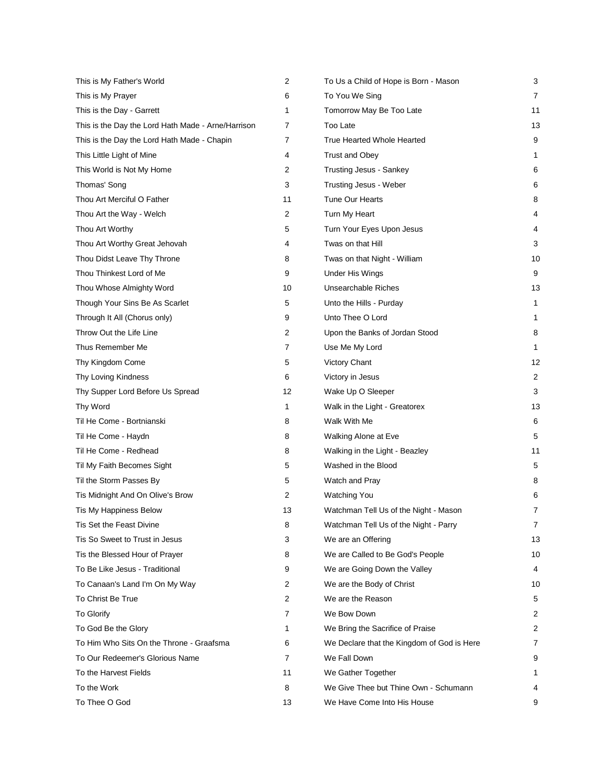| This is My Father's World                          | 2  | To Us a Child of Hope is Born - Mason      | 3              |
|----------------------------------------------------|----|--------------------------------------------|----------------|
| This is My Prayer                                  | 6  | To You We Sing                             | $\overline{7}$ |
| This is the Day - Garrett                          | 1  | Tomorrow May Be Too Late                   | 11             |
| This is the Day the Lord Hath Made - Arne/Harrison | 7  | Too Late                                   | 13             |
| This is the Day the Lord Hath Made - Chapin        | 7  | True Hearted Whole Hearted                 | 9              |
| This Little Light of Mine                          | 4  | <b>Trust and Obey</b>                      | 1              |
| This World is Not My Home                          | 2  | <b>Trusting Jesus - Sankey</b>             | 6              |
| Thomas' Song                                       | 3  | Trusting Jesus - Weber                     | 6              |
| Thou Art Merciful O Father                         | 11 | <b>Tune Our Hearts</b>                     | 8              |
| Thou Art the Way - Welch                           | 2  | Turn My Heart                              | 4              |
| Thou Art Worthy                                    | 5  | Turn Your Eyes Upon Jesus                  | 4              |
| Thou Art Worthy Great Jehovah                      | 4  | Twas on that Hill                          | 3              |
| Thou Didst Leave Thy Throne                        | 8  | Twas on that Night - William               | 10             |
| Thou Thinkest Lord of Me                           | 9  | Under His Wings                            | 9              |
| Thou Whose Almighty Word                           | 10 | Unsearchable Riches                        | 13             |
| Though Your Sins Be As Scarlet                     | 5  | Unto the Hills - Purday                    | 1              |
| Through It All (Chorus only)                       | 9  | Unto Thee O Lord                           | 1              |
| Throw Out the Life Line                            | 2  | Upon the Banks of Jordan Stood             | 8              |
| Thus Remember Me                                   | 7  | Use Me My Lord                             | 1              |
| Thy Kingdom Come                                   | 5  | Victory Chant                              | 12             |
| Thy Loving Kindness                                | 6  | Victory in Jesus                           | 2              |
| Thy Supper Lord Before Us Spread                   | 12 | Wake Up O Sleeper                          | 3              |
| Thy Word                                           | 1  | Walk in the Light - Greatorex              | 13             |
| Til He Come - Bortnianski                          | 8  | Walk With Me                               | 6              |
| Til He Come - Haydn                                | 8  | Walking Alone at Eve                       | 5              |
| Til He Come - Redhead                              | 8  | Walking in the Light - Beazley             | 11             |
| Til My Faith Becomes Sight                         | 5  | Washed in the Blood                        | 5              |
| Til the Storm Passes By                            | 5  | Watch and Pray                             | 8              |
| Tis Midnight And On Olive's Brow                   | 2  | <b>Watching You</b>                        | 6              |
| Tis My Happiness Below                             | 13 | Watchman Tell Us of the Night - Mason      | 7              |
| Tis Set the Feast Divine                           | 8  | Watchman Tell Us of the Night - Parry      | 7              |
| Tis So Sweet to Trust in Jesus                     | 3  | We are an Offering                         | 13             |
| Tis the Blessed Hour of Prayer                     | 8  | We are Called to Be God's People           | 10             |
| To Be Like Jesus - Traditional                     | 9  | We are Going Down the Valley               | 4              |
| To Canaan's Land I'm On My Way                     | 2  | We are the Body of Christ                  | 10             |
| To Christ Be True                                  | 2  | We are the Reason                          | 5              |
| To Glorify                                         | 7  | We Bow Down                                | 2              |
| To God Be the Glory                                | 1  | We Bring the Sacrifice of Praise           | 2              |
| To Him Who Sits On the Throne - Graafsma           | 6  | We Declare that the Kingdom of God is Here | 7              |
| To Our Redeemer's Glorious Name                    | 7  | We Fall Down                               | 9              |
| To the Harvest Fields                              | 11 | We Gather Together                         |                |
| To the Work                                        | 8  | We Give Thee but Thine Own - Schumann      |                |
| To Thee O God                                      | 13 | We Have Come Into His House                | 9              |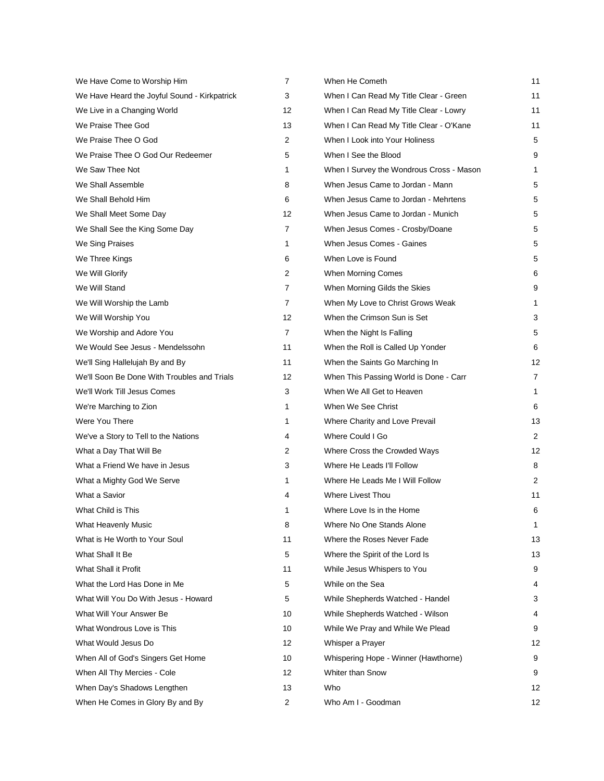| We Have Come to Worship Him                  | 7  | When He Cometh                           | 11 |
|----------------------------------------------|----|------------------------------------------|----|
| We Have Heard the Joyful Sound - Kirkpatrick | 3  | When I Can Read My Title Clear - Green   | 11 |
| We Live in a Changing World                  | 12 | When I Can Read My Title Clear - Lowry   | 11 |
| We Praise Thee God                           | 13 | When I Can Read My Title Clear - O'Kane  | 11 |
| We Praise Thee O God                         | 2  | When I Look into Your Holiness           | 5  |
| We Praise Thee O God Our Redeemer            | 5  | When I See the Blood                     | 9  |
| We Saw Thee Not                              | 1  | When I Survey the Wondrous Cross - Mason | 1  |
| We Shall Assemble                            | 8  | When Jesus Came to Jordan - Mann         | 5  |
| We Shall Behold Him                          | 6  | When Jesus Came to Jordan - Mehrtens     | 5  |
| We Shall Meet Some Day                       | 12 | When Jesus Came to Jordan - Munich       | 5  |
| We Shall See the King Some Day               | 7  | When Jesus Comes - Crosby/Doane          | 5  |
| We Sing Praises                              | 1  | When Jesus Comes - Gaines                | 5  |
| We Three Kings                               | 6  | When Love is Found                       | 5  |
| We Will Glorify                              | 2  | When Morning Comes                       | 6  |
| We Will Stand                                | 7  | When Morning Gilds the Skies             | 9  |
| We Will Worship the Lamb                     | 7  | When My Love to Christ Grows Weak        | 1  |
| We Will Worship You                          | 12 | When the Crimson Sun is Set              | 3  |
| We Worship and Adore You                     | 7  | When the Night Is Falling                | 5  |
| We Would See Jesus - Mendelssohn             | 11 | When the Roll is Called Up Yonder        | 6  |
| We'll Sing Hallelujah By and By              | 11 | When the Saints Go Marching In           | 12 |
| We'll Soon Be Done With Troubles and Trials  | 12 | When This Passing World is Done - Carr   | 7  |
| We'll Work Till Jesus Comes                  | 3  | When We All Get to Heaven                | 1  |
| We're Marching to Zion                       | 1  | When We See Christ                       | 6  |
| Were You There                               | 1  | Where Charity and Love Prevail           | 13 |
| We've a Story to Tell to the Nations         | 4  | Where Could I Go                         | 2  |
| What a Day That Will Be                      | 2  | Where Cross the Crowded Ways             | 12 |
| What a Friend We have in Jesus               | 3  | Where He Leads I'll Follow               | 8  |
| What a Mighty God We Serve                   | 1  | Where He Leads Me I Will Follow          | 2  |
| What a Savior                                | 4  | Where Livest Thou                        | 11 |
| What Child is This                           | 1  | Where Love Is in the Home                | 6  |
| What Heavenly Music                          | 8  | Where No One Stands Alone                | 1  |
| What is He Worth to Your Soul                | 11 | Where the Roses Never Fade               | 13 |
| What Shall It Be                             | 5  | Where the Spirit of the Lord Is          | 13 |
| What Shall it Profit                         | 11 | While Jesus Whispers to You              | 9  |
| What the Lord Has Done in Me                 | 5  | While on the Sea                         | 4  |
| What Will You Do With Jesus - Howard         | 5  | While Shepherds Watched - Handel         | 3  |
| What Will Your Answer Be                     | 10 | While Shepherds Watched - Wilson         | 4  |
| What Wondrous Love is This                   | 10 | While We Pray and While We Plead         | 9  |
| What Would Jesus Do                          | 12 | Whisper a Prayer                         | 12 |
| When All of God's Singers Get Home           | 10 | Whispering Hope - Winner (Hawthorne)     | 9  |
| When All Thy Mercies - Cole                  | 12 | Whiter than Snow                         | 9  |
| When Day's Shadows Lengthen                  | 13 | Who                                      | 12 |
| When He Comes in Glory By and By             | 2  | Who Am I - Goodman                       | 12 |